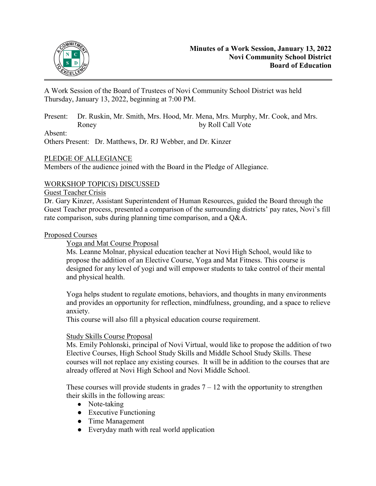

A Work Session of the Board of Trustees of Novi Community School District was held Thursday, January 13, 2022, beginning at 7:00 PM.

Present: Dr. Ruskin, Mr. Smith, Mrs. Hood, Mr. Mena, Mrs. Murphy, Mr. Cook, and Mrs. Roney by Roll Call Vote

### Absent:

Others Present: Dr. Matthews, Dr. RJ Webber, and Dr. Kinzer

# PLEDGE OF ALLEGIANCE

Members of the audience joined with the Board in the Pledge of Allegiance.

## WORKSHOP TOPIC(S) DISCUSSED

### Guest Teacher Crisis

Dr. Gary Kinzer, Assistant Superintendent of Human Resources, guided the Board through the Guest Teacher process, presented a comparison of the surrounding districts' pay rates, Novi's fill rate comparison, subs during planning time comparison, and a Q&A.

### Proposed Courses

Yoga and Mat Course Proposal

Ms. Leanne Molnar, physical education teacher at Novi High School, would like to propose the addition of an Elective Course, Yoga and Mat Fitness. This course is designed for any level of yogi and will empower students to take control of their mental and physical health.

Yoga helps student to regulate emotions, behaviors, and thoughts in many environments and provides an opportunity for reflection, mindfulness, grounding, and a space to relieve anxiety.

This course will also fill a physical education course requirement.

### Study Skills Course Proposal

Ms. Emily Pohlonski, principal of Novi Virtual, would like to propose the addition of two Elective Courses, High School Study Skills and Middle School Study Skills. These courses will not replace any existing courses. It will be in addition to the courses that are already offered at Novi High School and Novi Middle School.

These courses will provide students in grades  $7 - 12$  with the opportunity to strengthen their skills in the following areas:

- Note-taking
- Executive Functioning
- Time Management
- Everyday math with real world application